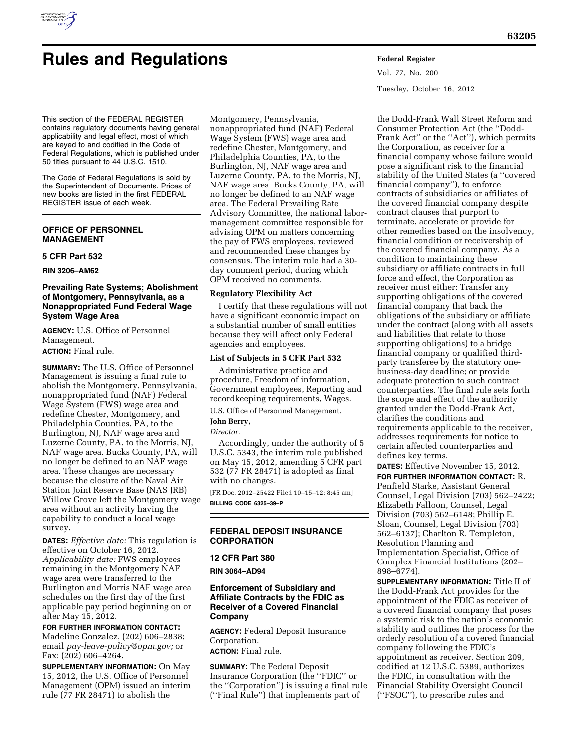

# **Rules and Regulations Federal Register**

Vol. 77, No. 200 Tuesday, October 16, 2012

This section of the FEDERAL REGISTER contains regulatory documents having general applicability and legal effect, most of which are keyed to and codified in the Code of Federal Regulations, which is published under 50 titles pursuant to 44 U.S.C. 1510.

The Code of Federal Regulations is sold by the Superintendent of Documents. Prices of new books are listed in the first FEDERAL REGISTER issue of each week.

## **OFFICE OF PERSONNEL MANAGEMENT**

## **5 CFR Part 532**

**RIN 3206–AM62** 

## **Prevailing Rate Systems; Abolishment of Montgomery, Pennsylvania, as a Nonappropriated Fund Federal Wage System Wage Area**

**AGENCY:** U.S. Office of Personnel Management.

## **ACTION:** Final rule.

**SUMMARY:** The U.S. Office of Personnel Management is issuing a final rule to abolish the Montgomery, Pennsylvania, nonappropriated fund (NAF) Federal Wage System (FWS) wage area and redefine Chester, Montgomery, and Philadelphia Counties, PA, to the Burlington, NJ, NAF wage area and Luzerne County, PA, to the Morris, NJ, NAF wage area. Bucks County, PA, will no longer be defined to an NAF wage area. These changes are necessary because the closure of the Naval Air Station Joint Reserve Base (NAS JRB) Willow Grove left the Montgomery wage area without an activity having the capability to conduct a local wage survey.

**DATES:** *Effective date:* This regulation is effective on October 16, 2012. *Applicability date:* FWS employees remaining in the Montgomery NAF wage area were transferred to the Burlington and Morris NAF wage area schedules on the first day of the first applicable pay period beginning on or after May 15, 2012.

**FOR FURTHER INFORMATION CONTACT:**  Madeline Gonzalez, (202) 606–2838; email *[pay-leave-policy@opm.gov;](mailto:pay-leave-policy@opm.gov)* or Fax: (202) 606–4264.

**SUPPLEMENTARY INFORMATION:** On May 15, 2012, the U.S. Office of Personnel Management (OPM) issued an interim rule (77 FR 28471) to abolish the

Montgomery, Pennsylvania, nonappropriated fund (NAF) Federal Wage System (FWS) wage area and redefine Chester, Montgomery, and Philadelphia Counties, PA, to the Burlington, NJ, NAF wage area and Luzerne County, PA, to the Morris, NJ, NAF wage area. Bucks County, PA, will no longer be defined to an NAF wage area. The Federal Prevailing Rate Advisory Committee, the national labormanagement committee responsible for advising OPM on matters concerning the pay of FWS employees, reviewed and recommended these changes by consensus. The interim rule had a 30 day comment period, during which OPM received no comments.

## **Regulatory Flexibility Act**

I certify that these regulations will not have a significant economic impact on a substantial number of small entities because they will affect only Federal agencies and employees.

#### **List of Subjects in 5 CFR Part 532**

Administrative practice and procedure, Freedom of information, Government employees, Reporting and recordkeeping requirements, Wages.

U.S. Office of Personnel Management.

# **John Berry,**

*Director.* 

Accordingly, under the authority of 5 U.S.C. 5343, the interim rule published on May 15, 2012, amending 5 CFR part 532 (77 FR 28471) is adopted as final with no changes.

[FR Doc. 2012–25422 Filed 10–15–12; 8:45 am] **BILLING CODE 6325–39–P** 

## **FEDERAL DEPOSIT INSURANCE CORPORATION**

#### **12 CFR Part 380**

**RIN 3064–AD94** 

## **Enforcement of Subsidiary and Affiliate Contracts by the FDIC as Receiver of a Covered Financial Company**

**AGENCY:** Federal Deposit Insurance Corporation. **ACTION:** Final rule.

**SUMMARY:** The Federal Deposit Insurance Corporation (the ''FDIC'' or the ''Corporation'') is issuing a final rule (''Final Rule'') that implements part of

the Dodd-Frank Wall Street Reform and Consumer Protection Act (the ''Dodd-Frank Act'' or the ''Act''), which permits the Corporation, as receiver for a financial company whose failure would pose a significant risk to the financial stability of the United States (a ''covered financial company''), to enforce contracts of subsidiaries or affiliates of the covered financial company despite contract clauses that purport to terminate, accelerate or provide for other remedies based on the insolvency, financial condition or receivership of the covered financial company. As a condition to maintaining these subsidiary or affiliate contracts in full force and effect, the Corporation as receiver must either: Transfer any supporting obligations of the covered financial company that back the obligations of the subsidiary or affiliate under the contract (along with all assets and liabilities that relate to those supporting obligations) to a bridge financial company or qualified thirdparty transferee by the statutory onebusiness-day deadline; or provide adequate protection to such contract counterparties. The final rule sets forth the scope and effect of the authority granted under the Dodd-Frank Act, clarifies the conditions and requirements applicable to the receiver, addresses requirements for notice to certain affected counterparties and defines key terms.

**DATES:** Effective November 15, 2012. **FOR FURTHER INFORMATION CONTACT:** R. Penfield Starke, Assistant General Counsel, Legal Division (703) 562–2422; Elizabeth Falloon, Counsel, Legal Division (703) 562–6148; Phillip E. Sloan, Counsel, Legal Division (703) 562–6137); Charlton R. Templeton, Resolution Planning and Implementation Specialist, Office of Complex Financial Institutions (202– 898–6774).

**SUPPLEMENTARY INFORMATION:** Title II of the Dodd-Frank Act provides for the appointment of the FDIC as receiver of a covered financial company that poses a systemic risk to the nation's economic stability and outlines the process for the orderly resolution of a covered financial company following the FDIC's appointment as receiver. Section 209, codified at 12 U.S.C. 5389, authorizes the FDIC, in consultation with the Financial Stability Oversight Council (''FSOC''), to prescribe rules and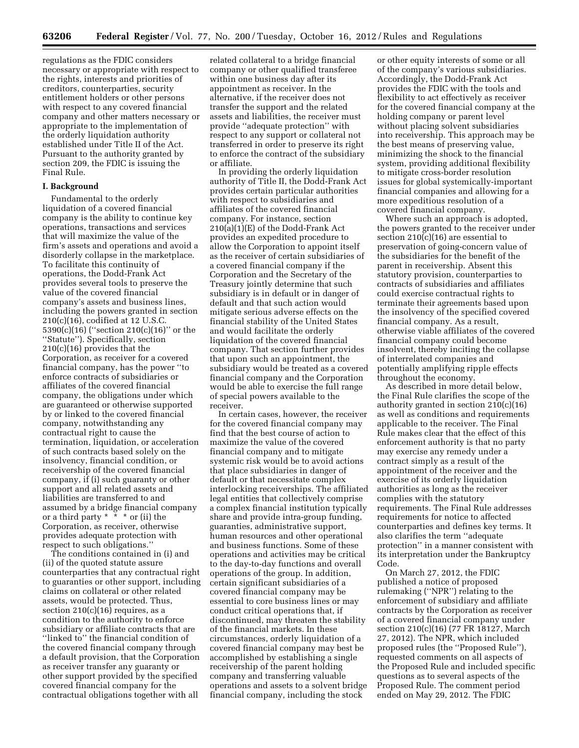regulations as the FDIC considers necessary or appropriate with respect to the rights, interests and priorities of creditors, counterparties, security entitlement holders or other persons with respect to any covered financial company and other matters necessary or appropriate to the implementation of the orderly liquidation authority established under Title II of the Act. Pursuant to the authority granted by section 209, the FDIC is issuing the Final Rule.

#### **I. Background**

Fundamental to the orderly liquidation of a covered financial company is the ability to continue key operations, transactions and services that will maximize the value of the firm's assets and operations and avoid a disorderly collapse in the marketplace. To facilitate this continuity of operations, the Dodd-Frank Act provides several tools to preserve the value of the covered financial company's assets and business lines, including the powers granted in section 210(c)(16), codified at 12 U.S.C. 5390(c)(16) (''section 210(c)(16)'' or the ''Statute''). Specifically, section 210(c)(16) provides that the Corporation, as receiver for a covered financial company, has the power ''to enforce contracts of subsidiaries or affiliates of the covered financial company, the obligations under which are guaranteed or otherwise supported by or linked to the covered financial company, notwithstanding any contractual right to cause the termination, liquidation, or acceleration of such contracts based solely on the insolvency, financial condition, or receivership of the covered financial company, if (i) such guaranty or other support and all related assets and liabilities are transferred to and assumed by a bridge financial company or a third party  $* * *$  or (ii) the Corporation, as receiver, otherwise provides adequate protection with respect to such obligations.''

The conditions contained in (i) and (ii) of the quoted statute assure counterparties that any contractual right to guaranties or other support, including claims on collateral or other related assets, would be protected. Thus, section  $210(c)(16)$  requires, as a condition to the authority to enforce subsidiary or affiliate contracts that are ''linked to'' the financial condition of the covered financial company through a default provision, that the Corporation as receiver transfer any guaranty or other support provided by the specified covered financial company for the contractual obligations together with all

related collateral to a bridge financial company or other qualified transferee within one business day after its appointment as receiver. In the alternative, if the receiver does not transfer the support and the related assets and liabilities, the receiver must provide ''adequate protection'' with respect to any support or collateral not transferred in order to preserve its right to enforce the contract of the subsidiary or affiliate.

In providing the orderly liquidation authority of Title II, the Dodd-Frank Act provides certain particular authorities with respect to subsidiaries and affiliates of the covered financial company. For instance, section 210(a)(1)(E) of the Dodd-Frank Act provides an expedited procedure to allow the Corporation to appoint itself as the receiver of certain subsidiaries of a covered financial company if the Corporation and the Secretary of the Treasury jointly determine that such subsidiary is in default or in danger of default and that such action would mitigate serious adverse effects on the financial stability of the United States and would facilitate the orderly liquidation of the covered financial company. That section further provides that upon such an appointment, the subsidiary would be treated as a covered financial company and the Corporation would be able to exercise the full range of special powers available to the receiver.

In certain cases, however, the receiver for the covered financial company may find that the best course of action to maximize the value of the covered financial company and to mitigate systemic risk would be to avoid actions that place subsidiaries in danger of default or that necessitate complex interlocking receiverships. The affiliated legal entities that collectively comprise a complex financial institution typically share and provide intra-group funding, guaranties, administrative support, human resources and other operational and business functions. Some of these operations and activities may be critical to the day-to-day functions and overall operations of the group. In addition, certain significant subsidiaries of a covered financial company may be essential to core business lines or may conduct critical operations that, if discontinued, may threaten the stability of the financial markets. In these circumstances, orderly liquidation of a covered financial company may best be accomplished by establishing a single receivership of the parent holding company and transferring valuable operations and assets to a solvent bridge financial company, including the stock

or other equity interests of some or all of the company's various subsidiaries. Accordingly, the Dodd-Frank Act provides the FDIC with the tools and flexibility to act effectively as receiver for the covered financial company at the holding company or parent level without placing solvent subsidiaries into receivership. This approach may be the best means of preserving value, minimizing the shock to the financial system, providing additional flexibility to mitigate cross-border resolution issues for global systemically-important financial companies and allowing for a more expeditious resolution of a covered financial company.

Where such an approach is adopted, the powers granted to the receiver under section  $210(c)(16)$  are essential to preservation of going-concern value of the subsidiaries for the benefit of the parent in receivership. Absent this statutory provision, counterparties to contracts of subsidiaries and affiliates could exercise contractual rights to terminate their agreements based upon the insolvency of the specified covered financial company. As a result, otherwise viable affiliates of the covered financial company could become insolvent, thereby inciting the collapse of interrelated companies and potentially amplifying ripple effects throughout the economy.

As described in more detail below, the Final Rule clarifies the scope of the authority granted in section 210(c)(16) as well as conditions and requirements applicable to the receiver. The Final Rule makes clear that the effect of this enforcement authority is that no party may exercise any remedy under a contract simply as a result of the appointment of the receiver and the exercise of its orderly liquidation authorities as long as the receiver complies with the statutory requirements. The Final Rule addresses requirements for notice to affected counterparties and defines key terms. It also clarifies the term ''adequate protection'' in a manner consistent with its interpretation under the Bankruptcy Code.

On March 27, 2012, the FDIC published a notice of proposed rulemaking (''NPR'') relating to the enforcement of subsidiary and affiliate contracts by the Corporation as receiver of a covered financial company under section 210(c)(16) (77 FR 18127, March 27, 2012). The NPR, which included proposed rules (the ''Proposed Rule''), requested comments on all aspects of the Proposed Rule and included specific questions as to several aspects of the Proposed Rule. The comment period ended on May 29, 2012. The FDIC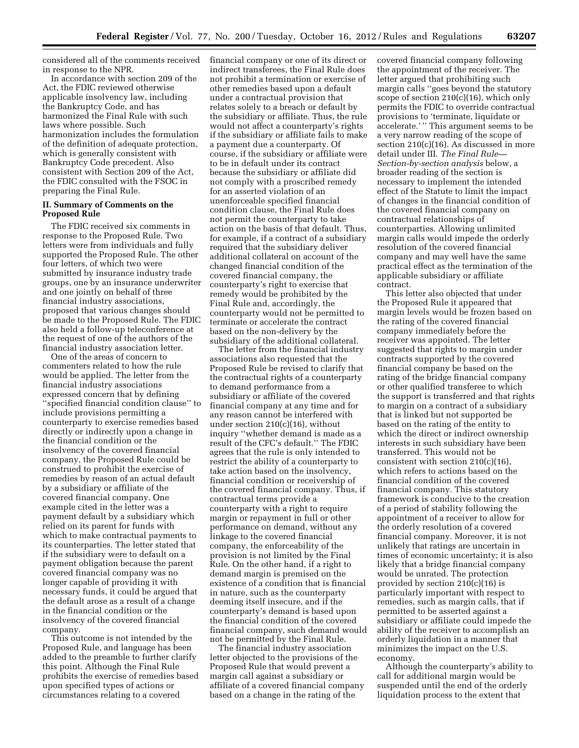considered all of the comments received in response to the NPR.

In accordance with section 209 of the Act, the FDIC reviewed otherwise applicable insolvency law, including the Bankruptcy Code, and has harmonized the Final Rule with such laws where possible. Such harmonization includes the formulation of the definition of adequate protection, which is generally consistent with Bankruptcy Code precedent. Also consistent with Section 209 of the Act, the FDIC consulted with the FSOC in preparing the Final Rule.

#### **II. Summary of Comments on the Proposed Rule**

The FDIC received six comments in response to the Proposed Rule. Two letters were from individuals and fully supported the Proposed Rule. The other four letters, of which two were submitted by insurance industry trade groups, one by an insurance underwriter and one jointly on behalf of three financial industry associations, proposed that various changes should be made to the Proposed Rule. The FDIC also held a follow-up teleconference at the request of one of the authors of the financial industry association letter.

One of the areas of concern to commenters related to how the rule would be applied. The letter from the financial industry associations expressed concern that by defining ''specified financial condition clause'' to include provisions permitting a counterparty to exercise remedies based directly or indirectly upon a change in the financial condition or the insolvency of the covered financial company, the Proposed Rule could be construed to prohibit the exercise of remedies by reason of an actual default by a subsidiary or affiliate of the covered financial company. One example cited in the letter was a payment default by a subsidiary which relied on its parent for funds with which to make contractual payments to its counterparties. The letter stated that if the subsidiary were to default on a payment obligation because the parent covered financial company was no longer capable of providing it with necessary funds, it could be argued that the default arose as a result of a change in the financial condition or the insolvency of the covered financial company.

This outcome is not intended by the Proposed Rule, and language has been added to the preamble to further clarify this point. Although the Final Rule prohibits the exercise of remedies based upon specified types of actions or circumstances relating to a covered

financial company or one of its direct or indirect transferees, the Final Rule does not prohibit a termination or exercise of other remedies based upon a default under a contractual provision that relates solely to a breach or default by the subsidiary or affiliate. Thus, the rule would not affect a counterparty's rights if the subsidiary or affiliate fails to make a payment due a counterparty. Of course, if the subsidiary or affiliate were to be in default under its contract because the subsidiary or affiliate did not comply with a proscribed remedy for an asserted violation of an unenforceable specified financial condition clause, the Final Rule does not permit the counterparty to take action on the basis of that default. Thus, for example, if a contract of a subsidiary required that the subsidiary deliver additional collateral on account of the changed financial condition of the covered financial company, the counterparty's right to exercise that remedy would be prohibited by the Final Rule and, accordingly, the counterparty would not be permitted to terminate or accelerate the contract based on the non-delivery by the subsidiary of the additional collateral.

The letter from the financial industry associations also requested that the Proposed Rule be revised to clarify that the contractual rights of a counterparty to demand performance from a subsidiary or affiliate of the covered financial company at any time and for any reason cannot be interfered with under section 210(c)(16), without inquiry ''whether demand is made as a result of the CFC's default.'' The FDIC agrees that the rule is only intended to restrict the ability of a counterparty to take action based on the insolvency, financial condition or receivership of the covered financial company. Thus, if contractual terms provide a counterparty with a right to require margin or repayment in full or other performance on demand, without any linkage to the covered financial company, the enforceability of the provision is not limited by the Final Rule. On the other hand, if a right to demand margin is premised on the existence of a condition that is financial in nature, such as the counterparty deeming itself insecure, and if the counterparty's demand is based upon the financial condition of the covered financial company, such demand would not be permitted by the Final Rule.

The financial industry association letter objected to the provisions of the Proposed Rule that would prevent a margin call against a subsidiary or affiliate of a covered financial company based on a change in the rating of the

covered financial company following the appointment of the receiver. The letter argued that prohibiting such margin calls ''goes beyond the statutory scope of section  $210(c)(16)$ , which only permits the FDIC to override contractual provisions to 'terminate, liquidate or accelerate.' '' This argument seems to be a very narrow reading of the scope of section 210(c)(16). As discussed in more detail under III. *The Final Rule— Section-by-section analysis* below, a broader reading of the section is necessary to implement the intended effect of the Statute to limit the impact of changes in the financial condition of the covered financial company on contractual relationships of counterparties. Allowing unlimited margin calls would impede the orderly resolution of the covered financial company and may well have the same practical effect as the termination of the applicable subsidiary or affiliate contract.

This letter also objected that under the Proposed Rule it appeared that margin levels would be frozen based on the rating of the covered financial company immediately before the receiver was appointed. The letter suggested that rights to margin under contracts supported by the covered financial company be based on the rating of the bridge financial company or other qualified transferee to which the support is transferred and that rights to margin on a contract of a subsidiary that is linked but not supported be based on the rating of the entity to which the direct or indirect ownership interests in such subsidiary have been transferred. This would not be consistent with section  $210(c)(16)$ , which refers to actions based on the financial condition of the covered financial company. This statutory framework is conducive to the creation of a period of stability following the appointment of a receiver to allow for the orderly resolution of a covered financial company. Moreover, it is not unlikely that ratings are uncertain in times of economic uncertainty; it is also likely that a bridge financial company would be unrated. The protection provided by section 210(c)(16) is particularly important with respect to remedies, such as margin calls, that if permitted to be asserted against a subsidiary or affiliate could impede the ability of the receiver to accomplish an orderly liquidation in a manner that minimizes the impact on the U.S. economy.

Although the counterparty's ability to call for additional margin would be suspended until the end of the orderly liquidation process to the extent that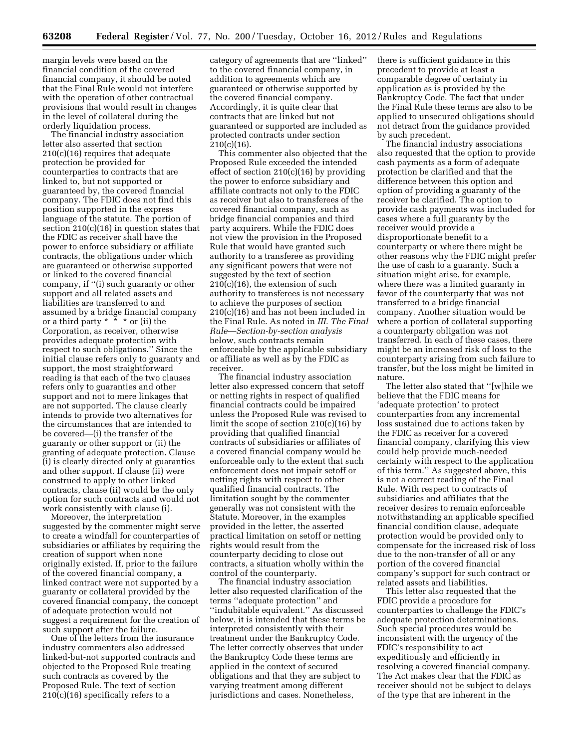margin levels were based on the financial condition of the covered financial company, it should be noted that the Final Rule would not interfere with the operation of other contractual provisions that would result in changes in the level of collateral during the orderly liquidation process.

The financial industry association letter also asserted that section 210(c)(16) requires that adequate protection be provided for counterparties to contracts that are linked to, but not supported or guaranteed by, the covered financial company. The FDIC does not find this position supported in the express language of the statute. The portion of section 210(c)(16) in question states that the FDIC as receiver shall have the power to enforce subsidiary or affiliate contracts, the obligations under which are guaranteed or otherwise supported or linked to the covered financial company, if ''(i) such guaranty or other support and all related assets and liabilities are transferred to and assumed by a bridge financial company or a third party  $* \times^*$  or (ii) the Corporation, as receiver, otherwise provides adequate protection with respect to such obligations.'' Since the initial clause refers only to guaranty and support, the most straightforward reading is that each of the two clauses refers only to guaranties and other support and not to mere linkages that are not supported. The clause clearly intends to provide two alternatives for the circumstances that are intended to be covered—(i) the transfer of the guaranty or other support or (ii) the granting of adequate protection. Clause (i) is clearly directed only at guaranties and other support. If clause (ii) were construed to apply to other linked contracts, clause (ii) would be the only option for such contracts and would not work consistently with clause (i).

Moreover, the interpretation suggested by the commenter might serve to create a windfall for counterparties of subsidiaries or affiliates by requiring the creation of support when none originally existed. If, prior to the failure of the covered financial company, a linked contract were not supported by a guaranty or collateral provided by the covered financial company, the concept of adequate protection would not suggest a requirement for the creation of such support after the failure.

One of the letters from the insurance industry commenters also addressed linked-but-not supported contracts and objected to the Proposed Rule treating such contracts as covered by the Proposed Rule. The text of section  $210(c)(16)$  specifically refers to a

category of agreements that are ''linked'' to the covered financial company, in addition to agreements which are guaranteed or otherwise supported by the covered financial company. Accordingly, it is quite clear that contracts that are linked but not guaranteed or supported are included as protected contracts under section  $210(c)(16)$ .

This commenter also objected that the Proposed Rule exceeded the intended effect of section  $210(c)(16)$  by providing the power to enforce subsidiary and affiliate contracts not only to the FDIC as receiver but also to transferees of the covered financial company, such as bridge financial companies and third party acquirers. While the FDIC does not view the provision in the Proposed Rule that would have granted such authority to a transferee as providing any significant powers that were not suggested by the text of section  $210(c)(16)$ , the extension of such authority to transferees is not necessary to achieve the purposes of section 210(c)(16) and has not been included in the Final Rule. As noted in *III. The Final Rule—Section-by-section analysis*  below, such contracts remain enforceable by the applicable subsidiary or affiliate as well as by the FDIC as receiver.

The financial industry association letter also expressed concern that setoff or netting rights in respect of qualified financial contracts could be impaired unless the Proposed Rule was revised to limit the scope of section 210(c)(16) by providing that qualified financial contracts of subsidiaries or affiliates of a covered financial company would be enforceable only to the extent that such enforcement does not impair setoff or netting rights with respect to other qualified financial contracts. The limitation sought by the commenter generally was not consistent with the Statute. Moreover, in the examples provided in the letter, the asserted practical limitation on setoff or netting rights would result from the counterparty deciding to close out contracts, a situation wholly within the control of the counterparty.

The financial industry association letter also requested clarification of the terms ''adequate protection'' and ''indubitable equivalent.'' As discussed below, it is intended that these terms be interpreted consistently with their treatment under the Bankruptcy Code. The letter correctly observes that under the Bankruptcy Code these terms are applied in the context of secured obligations and that they are subject to varying treatment among different jurisdictions and cases. Nonetheless,

there is sufficient guidance in this precedent to provide at least a comparable degree of certainty in application as is provided by the Bankruptcy Code. The fact that under the Final Rule these terms are also to be applied to unsecured obligations should not detract from the guidance provided by such precedent.

The financial industry associations also requested that the option to provide cash payments as a form of adequate protection be clarified and that the difference between this option and option of providing a guaranty of the receiver be clarified. The option to provide cash payments was included for cases where a full guaranty by the receiver would provide a disproportionate benefit to a counterparty or where there might be other reasons why the FDIC might prefer the use of cash to a guaranty. Such a situation might arise, for example, where there was a limited guaranty in favor of the counterparty that was not transferred to a bridge financial company. Another situation would be where a portion of collateral supporting a counterparty obligation was not transferred. In each of these cases, there might be an increased risk of loss to the counterparty arising from such failure to transfer, but the loss might be limited in nature.

The letter also stated that ''[w]hile we believe that the FDIC means for 'adequate protection' to protect counterparties from any incremental loss sustained due to actions taken by the FDIC as receiver for a covered financial company, clarifying this view could help provide much-needed certainty with respect to the application of this term.'' As suggested above, this is not a correct reading of the Final Rule. With respect to contracts of subsidiaries and affiliates that the receiver desires to remain enforceable notwithstanding an applicable specified financial condition clause, adequate protection would be provided only to compensate for the increased risk of loss due to the non-transfer of all or any portion of the covered financial company's support for such contract or related assets and liabilities.

This letter also requested that the FDIC provide a procedure for counterparties to challenge the FDIC's adequate protection determinations. Such special procedures would be inconsistent with the urgency of the FDIC's responsibility to act expeditiously and efficiently in resolving a covered financial company. The Act makes clear that the FDIC as receiver should not be subject to delays of the type that are inherent in the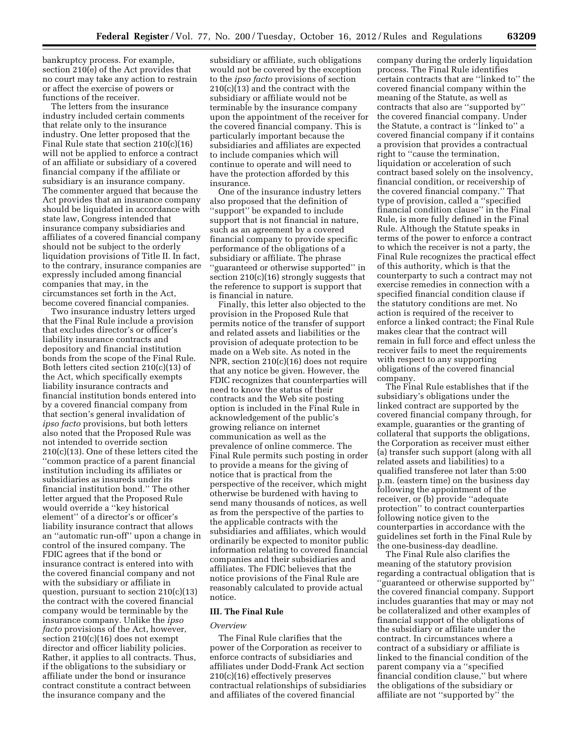bankruptcy process. For example, section 210(e) of the Act provides that no court may take any action to restrain or affect the exercise of powers or functions of the receiver.

The letters from the insurance industry included certain comments that relate only to the insurance industry. One letter proposed that the Final Rule state that section 210(c)(16) will not be applied to enforce a contract of an affiliate or subsidiary of a covered financial company if the affiliate or subsidiary is an insurance company. The commenter argued that because the Act provides that an insurance company should be liquidated in accordance with state law, Congress intended that insurance company subsidiaries and affiliates of a covered financial company should not be subject to the orderly liquidation provisions of Title II. In fact, to the contrary, insurance companies are expressly included among financial companies that may, in the circumstances set forth in the Act, become covered financial companies.

Two insurance industry letters urged that the Final Rule include a provision that excludes director's or officer's liability insurance contracts and depository and financial institution bonds from the scope of the Final Rule. Both letters cited section 210(c)(13) of the Act, which specifically exempts liability insurance contracts and financial institution bonds entered into by a covered financial company from that section's general invalidation of *ipso facto* provisions, but both letters also noted that the Proposed Rule was not intended to override section 210(c)(13). One of these letters cited the ''common practice of a parent financial institution including its affiliates or subsidiaries as insureds under its financial institution bond.'' The other letter argued that the Proposed Rule would override a ''key historical element'' of a director's or officer's liability insurance contract that allows an ''automatic run-off'' upon a change in control of the insured company. The FDIC agrees that if the bond or insurance contract is entered into with the covered financial company and not with the subsidiary or affiliate in question, pursuant to section  $210(c)(13)$ the contract with the covered financial company would be terminable by the insurance company. Unlike the *ipso facto* provisions of the Act, however, section 210(c)(16) does not exempt director and officer liability policies. Rather, it applies to all contracts. Thus, if the obligations to the subsidiary or affiliate under the bond or insurance contract constitute a contract between the insurance company and the

subsidiary or affiliate, such obligations would not be covered by the exception to the *ipso facto* provisions of section 210(c)(13) and the contract with the subsidiary or affiliate would not be terminable by the insurance company upon the appointment of the receiver for the covered financial company. This is particularly important because the subsidiaries and affiliates are expected to include companies which will continue to operate and will need to have the protection afforded by this insurance.

One of the insurance industry letters also proposed that the definition of ''support'' be expanded to include support that is not financial in nature, such as an agreement by a covered financial company to provide specific performance of the obligations of a subsidiary or affiliate. The phrase ''guaranteed or otherwise supported'' in section 210(c)(16) strongly suggests that the reference to support is support that is financial in nature.

Finally, this letter also objected to the provision in the Proposed Rule that permits notice of the transfer of support and related assets and liabilities or the provision of adequate protection to be made on a Web site. As noted in the NPR, section 210(c)(16) does not require that any notice be given. However, the FDIC recognizes that counterparties will need to know the status of their contracts and the Web site posting option is included in the Final Rule in acknowledgement of the public's growing reliance on internet communication as well as the prevalence of online commerce. The Final Rule permits such posting in order to provide a means for the giving of notice that is practical from the perspective of the receiver, which might otherwise be burdened with having to send many thousands of notices, as well as from the perspective of the parties to the applicable contracts with the subsidiaries and affiliates, which would ordinarily be expected to monitor public information relating to covered financial companies and their subsidiaries and affiliates. The FDIC believes that the notice provisions of the Final Rule are reasonably calculated to provide actual notice.

#### **III. The Final Rule**

#### *Overview*

The Final Rule clarifies that the power of the Corporation as receiver to enforce contracts of subsidiaries and affiliates under Dodd-Frank Act section 210(c)(16) effectively preserves contractual relationships of subsidiaries and affiliates of the covered financial

company during the orderly liquidation process. The Final Rule identifies certain contracts that are ''linked to'' the covered financial company within the meaning of the Statute, as well as contracts that also are ''supported by'' the covered financial company. Under the Statute, a contract is ''linked to'' a covered financial company if it contains a provision that provides a contractual right to ''cause the termination, liquidation or acceleration of such contract based solely on the insolvency, financial condition, or receivership of the covered financial company.'' That type of provision, called a ''specified financial condition clause'' in the Final Rule, is more fully defined in the Final Rule. Although the Statute speaks in terms of the power to enforce a contract to which the receiver is not a party, the Final Rule recognizes the practical effect of this authority, which is that the counterparty to such a contract may not exercise remedies in connection with a specified financial condition clause if the statutory conditions are met. No action is required of the receiver to enforce a linked contract; the Final Rule makes clear that the contract will remain in full force and effect unless the receiver fails to meet the requirements with respect to any supporting obligations of the covered financial company.

The Final Rule establishes that if the subsidiary's obligations under the linked contract are supported by the covered financial company through, for example, guaranties or the granting of collateral that supports the obligations, the Corporation as receiver must either (a) transfer such support (along with all related assets and liabilities) to a qualified transferee not later than 5:00 p.m. (eastern time) on the business day following the appointment of the receiver, or (b) provide ''adequate protection'' to contract counterparties following notice given to the counterparties in accordance with the guidelines set forth in the Final Rule by the one-business-day deadline.

The Final Rule also clarifies the meaning of the statutory provision regarding a contractual obligation that is ''guaranteed or otherwise supported by'' the covered financial company. Support includes guaranties that may or may not be collateralized and other examples of financial support of the obligations of the subsidiary or affiliate under the contract. In circumstances where a contract of a subsidiary or affiliate is linked to the financial condition of the parent company via a ''specified financial condition clause,'' but where the obligations of the subsidiary or affiliate are not ''supported by'' the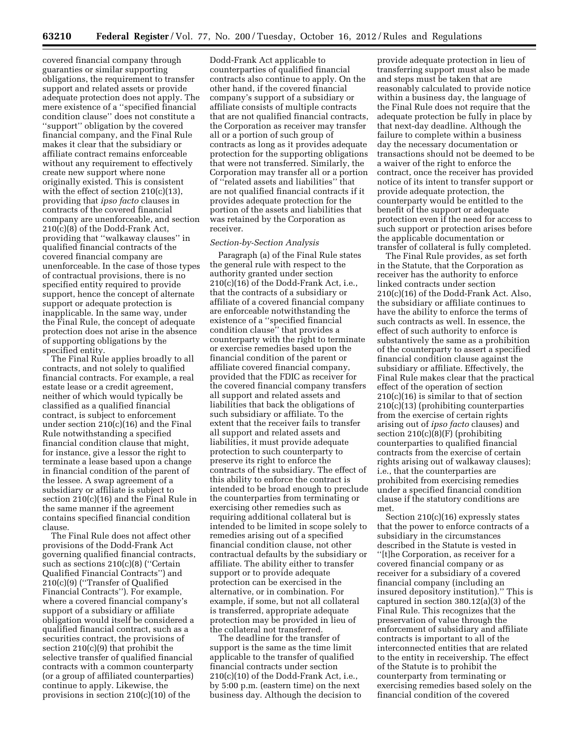covered financial company through guaranties or similar supporting obligations, the requirement to transfer support and related assets or provide adequate protection does not apply. The mere existence of a ''specified financial condition clause'' does not constitute a ''support'' obligation by the covered financial company, and the Final Rule makes it clear that the subsidiary or affiliate contract remains enforceable without any requirement to effectively create new support where none originally existed. This is consistent with the effect of section 210(c)(13), providing that *ipso facto* clauses in contracts of the covered financial company are unenforceable, and section 210(c)(8) of the Dodd-Frank Act, providing that ''walkaway clauses'' in qualified financial contracts of the covered financial company are unenforceable. In the case of those types of contractual provisions, there is no specified entity required to provide support, hence the concept of alternate support or adequate protection is inapplicable. In the same way, under the Final Rule, the concept of adequate protection does not arise in the absence of supporting obligations by the specified entity.

The Final Rule applies broadly to all contracts, and not solely to qualified financial contracts. For example, a real estate lease or a credit agreement, neither of which would typically be classified as a qualified financial contract, is subject to enforcement under section 210(c)(16) and the Final Rule notwithstanding a specified financial condition clause that might, for instance, give a lessor the right to terminate a lease based upon a change in financial condition of the parent of the lessee. A swap agreement of a subsidiary or affiliate is subject to section 210(c)(16) and the Final Rule in the same manner if the agreement contains specified financial condition clause.

The Final Rule does not affect other provisions of the Dodd-Frank Act governing qualified financial contracts, such as sections 210(c)(8) (''Certain Qualified Financial Contracts'') and 210(c)(9) (''Transfer of Qualified Financial Contracts''). For example, where a covered financial company's support of a subsidiary or affiliate obligation would itself be considered a qualified financial contract, such as a securities contract, the provisions of section 210(c)(9) that prohibit the selective transfer of qualified financial contracts with a common counterparty (or a group of affiliated counterparties) continue to apply. Likewise, the provisions in section 210(c)(10) of the

Dodd-Frank Act applicable to counterparties of qualified financial contracts also continue to apply. On the other hand, if the covered financial company's support of a subsidiary or affiliate consists of multiple contracts that are not qualified financial contracts, the Corporation as receiver may transfer all or a portion of such group of contracts as long as it provides adequate protection for the supporting obligations that were not transferred. Similarly, the Corporation may transfer all or a portion of ''related assets and liabilities'' that are not qualified financial contracts if it provides adequate protection for the portion of the assets and liabilities that was retained by the Corporation as receiver.

#### *Section-by-Section Analysis*

Paragraph (a) of the Final Rule states the general rule with respect to the authority granted under section 210(c)(16) of the Dodd-Frank Act, i.e., that the contracts of a subsidiary or affiliate of a covered financial company are enforceable notwithstanding the existence of a ''specified financial condition clause'' that provides a counterparty with the right to terminate or exercise remedies based upon the financial condition of the parent or affiliate covered financial company, provided that the FDIC as receiver for the covered financial company transfers all support and related assets and liabilities that back the obligations of such subsidiary or affiliate. To the extent that the receiver fails to transfer all support and related assets and liabilities, it must provide adequate protection to such counterparty to preserve its right to enforce the contracts of the subsidiary. The effect of this ability to enforce the contract is intended to be broad enough to preclude the counterparties from terminating or exercising other remedies such as requiring additional collateral but is intended to be limited in scope solely to remedies arising out of a specified financial condition clause, not other contractual defaults by the subsidiary or affiliate. The ability either to transfer support or to provide adequate protection can be exercised in the alternative, or in combination. For example, if some, but not all collateral is transferred, appropriate adequate protection may be provided in lieu of the collateral not transferred.

The deadline for the transfer of support is the same as the time limit applicable to the transfer of qualified financial contracts under section 210(c)(10) of the Dodd-Frank Act, i.e., by 5:00 p.m. (eastern time) on the next business day. Although the decision to

provide adequate protection in lieu of transferring support must also be made and steps must be taken that are reasonably calculated to provide notice within a business day, the language of the Final Rule does not require that the adequate protection be fully in place by that next-day deadline. Although the failure to complete within a business day the necessary documentation or transactions should not be deemed to be a waiver of the right to enforce the contract, once the receiver has provided notice of its intent to transfer support or provide adequate protection, the counterparty would be entitled to the benefit of the support or adequate protection even if the need for access to such support or protection arises before the applicable documentation or transfer of collateral is fully completed.

The Final Rule provides, as set forth in the Statute, that the Corporation as receiver has the authority to enforce linked contracts under section 210(c)(16) of the Dodd-Frank Act. Also, the subsidiary or affiliate continues to have the ability to enforce the terms of such contracts as well. In essence, the effect of such authority to enforce is substantively the same as a prohibition of the counterparty to assert a specified financial condition clause against the subsidiary or affiliate. Effectively, the Final Rule makes clear that the practical effect of the operation of section 210(c)(16) is similar to that of section 210(c)(13) (prohibiting counterparties from the exercise of certain rights arising out of *ipso facto* clauses) and section 210(c)(8)(F) (prohibiting counterparties to qualified financial contracts from the exercise of certain rights arising out of walkaway clauses); i.e., that the counterparties are prohibited from exercising remedies under a specified financial condition clause if the statutory conditions are met.

Section 210(c)(16) expressly states that the power to enforce contracts of a subsidiary in the circumstances described in the Statute is vested in ''[t]he Corporation, as receiver for a covered financial company or as receiver for a subsidiary of a covered financial company (including an insured depository institution).'' This is captured in section 380.12(a)(3) of the Final Rule. This recognizes that the preservation of value through the enforcement of subsidiary and affiliate contracts is important to all of the interconnected entities that are related to the entity in receivership. The effect of the Statute is to prohibit the counterparty from terminating or exercising remedies based solely on the financial condition of the covered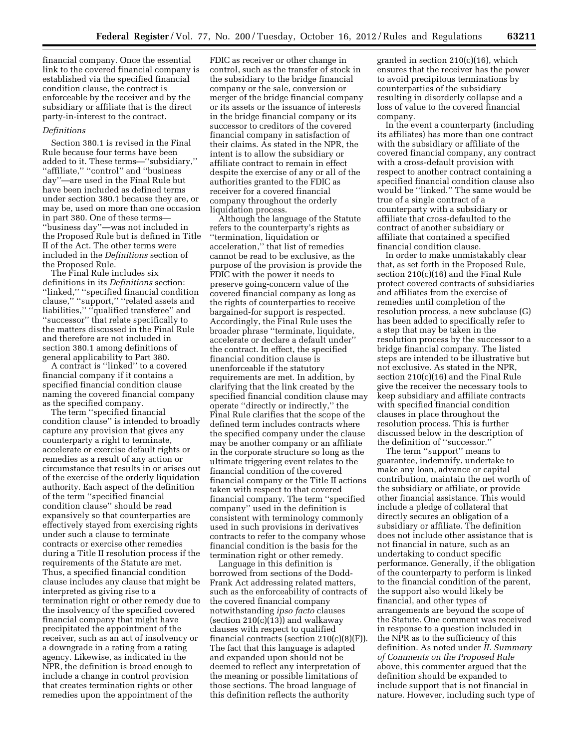financial company. Once the essential link to the covered financial company is established via the specified financial condition clause, the contract is enforceable by the receiver and by the subsidiary or affiliate that is the direct party-in-interest to the contract.

#### *Definitions*

Section 380.1 is revised in the Final Rule because four terms have been added to it. These terms—''subsidiary,'' "affiliate," "control" and "business day''—are used in the Final Rule but have been included as defined terms under section 380.1 because they are, or may be, used on more than one occasion in part 380. One of these terms— ''business day''—was not included in the Proposed Rule but is defined in Title II of the Act. The other terms were included in the *Definitions* section of the Proposed Rule.

The Final Rule includes six definitions in its *Definitions* section: ''linked,'' ''specified financial condition clause,'' ''support,'' ''related assets and liabilities," "qualified transferee" and ''successor'' that relate specifically to the matters discussed in the Final Rule and therefore are not included in section 380.1 among definitions of general applicability to Part 380.

A contract is ''linked'' to a covered financial company if it contains a specified financial condition clause naming the covered financial company as the specified company.

The term ''specified financial condition clause'' is intended to broadly capture any provision that gives any counterparty a right to terminate, accelerate or exercise default rights or remedies as a result of any action or circumstance that results in or arises out of the exercise of the orderly liquidation authority. Each aspect of the definition of the term ''specified financial condition clause'' should be read expansively so that counterparties are effectively stayed from exercising rights under such a clause to terminate contracts or exercise other remedies during a Title II resolution process if the requirements of the Statute are met. Thus, a specified financial condition clause includes any clause that might be interpreted as giving rise to a termination right or other remedy due to the insolvency of the specified covered financial company that might have precipitated the appointment of the receiver, such as an act of insolvency or a downgrade in a rating from a rating agency. Likewise, as indicated in the NPR, the definition is broad enough to include a change in control provision that creates termination rights or other remedies upon the appointment of the

FDIC as receiver or other change in control, such as the transfer of stock in the subsidiary to the bridge financial company or the sale, conversion or merger of the bridge financial company or its assets or the issuance of interests in the bridge financial company or its successor to creditors of the covered financial company in satisfaction of their claims. As stated in the NPR, the intent is to allow the subsidiary or affiliate contract to remain in effect despite the exercise of any or all of the authorities granted to the FDIC as receiver for a covered financial company throughout the orderly liquidation process.

Although the language of the Statute refers to the counterparty's rights as ''termination, liquidation or acceleration,'' that list of remedies cannot be read to be exclusive, as the purpose of the provision is provide the FDIC with the power it needs to preserve going-concern value of the covered financial company as long as the rights of counterparties to receive bargained-for support is respected. Accordingly, the Final Rule uses the broader phrase ''terminate, liquidate, accelerate or declare a default under'' the contract. In effect, the specified financial condition clause is unenforceable if the statutory requirements are met. In addition, by clarifying that the link created by the specified financial condition clause may operate ''directly or indirectly,'' the Final Rule clarifies that the scope of the defined term includes contracts where the specified company under the clause may be another company or an affiliate in the corporate structure so long as the ultimate triggering event relates to the financial condition of the covered financial company or the Title II actions taken with respect to that covered financial company. The term ''specified company'' used in the definition is consistent with terminology commonly used in such provisions in derivatives contracts to refer to the company whose financial condition is the basis for the termination right or other remedy.

Language in this definition is borrowed from sections of the Dodd-Frank Act addressing related matters, such as the enforceability of contracts of the covered financial company notwithstanding *ipso facto* clauses (section  $210(c)(13)$ ) and walkaway clauses with respect to qualified financial contracts (section  $210(c)(8)(F)$ ). The fact that this language is adapted and expanded upon should not be deemed to reflect any interpretation of the meaning or possible limitations of those sections. The broad language of this definition reflects the authority

granted in section 210(c)(16), which ensures that the receiver has the power to avoid precipitous terminations by counterparties of the subsidiary resulting in disorderly collapse and a loss of value to the covered financial company.

In the event a counterparty (including its affiliates) has more than one contract with the subsidiary or affiliate of the covered financial company, any contract with a cross-default provision with respect to another contract containing a specified financial condition clause also would be ''linked.'' The same would be true of a single contract of a counterparty with a subsidiary or affiliate that cross-defaulted to the contract of another subsidiary or affiliate that contained a specified financial condition clause.

In order to make unmistakably clear that, as set forth in the Proposed Rule, section 210(c)(16) and the Final Rule protect covered contracts of subsidiaries and affiliates from the exercise of remedies until completion of the resolution process, a new subclause (G) has been added to specifically refer to a step that may be taken in the resolution process by the successor to a bridge financial company. The listed steps are intended to be illustrative but not exclusive. As stated in the NPR, section 210(c)(16) and the Final Rule give the receiver the necessary tools to keep subsidiary and affiliate contracts with specified financial condition clauses in place throughout the resolution process. This is further discussed below in the description of the definition of ''successor.''

The term "support" means to guarantee, indemnify, undertake to make any loan, advance or capital contribution, maintain the net worth of the subsidiary or affiliate, or provide other financial assistance. This would include a pledge of collateral that directly secures an obligation of a subsidiary or affiliate. The definition does not include other assistance that is not financial in nature, such as an undertaking to conduct specific performance. Generally, if the obligation of the counterparty to perform is linked to the financial condition of the parent, the support also would likely be financial, and other types of arrangements are beyond the scope of the Statute. One comment was received in response to a question included in the NPR as to the sufficiency of this definition. As noted under *II. Summary of Comments on the Proposed Rule*  above, this commenter argued that the definition should be expanded to include support that is not financial in nature. However, including such type of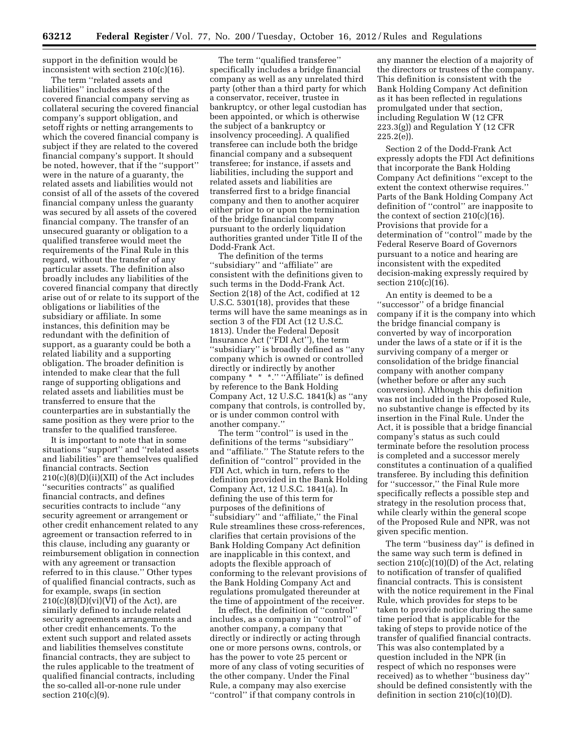support in the definition would be inconsistent with section 210(c)(16).

The term ''related assets and liabilities'' includes assets of the covered financial company serving as collateral securing the covered financial company's support obligation, and setoff rights or netting arrangements to which the covered financial company is subject if they are related to the covered financial company's support. It should be noted, however, that if the ''support'' were in the nature of a guaranty, the related assets and liabilities would not consist of all of the assets of the covered financial company unless the guaranty was secured by all assets of the covered financial company. The transfer of an unsecured guaranty or obligation to a qualified transferee would meet the requirements of the Final Rule in this regard, without the transfer of any particular assets. The definition also broadly includes any liabilities of the covered financial company that directly arise out of or relate to its support of the obligations or liabilities of the subsidiary or affiliate. In some instances, this definition may be redundant with the definition of support, as a guaranty could be both a related liability and a supporting obligation. The broader definition is intended to make clear that the full range of supporting obligations and related assets and liabilities must be transferred to ensure that the counterparties are in substantially the same position as they were prior to the transfer to the qualified transferee.

It is important to note that in some situations ''support'' and ''related assets and liabilities'' are themselves qualified financial contracts. Section 210(c)(8)(D)(ii)(XII) of the Act includes ''securities contracts'' as qualified financial contracts, and defines securities contracts to include ''any security agreement or arrangement or other credit enhancement related to any agreement or transaction referred to in this clause, including any guaranty or reimbursement obligation in connection with any agreement or transaction referred to in this clause.'' Other types of qualified financial contracts, such as for example, swaps (in section  $210(c)(8)(D)(vi)(VI)$  of the Act), are similarly defined to include related security agreements arrangements and other credit enhancements. To the extent such support and related assets and liabilities themselves constitute financial contracts, they are subject to the rules applicable to the treatment of qualified financial contracts, including the so-called all-or-none rule under section 210(c)(9).

The term ''qualified transferee'' specifically includes a bridge financial company as well as any unrelated third party (other than a third party for which a conservator, receiver, trustee in bankruptcy, or other legal custodian has been appointed, or which is otherwise the subject of a bankruptcy or insolvency proceeding). A qualified transferee can include both the bridge financial company and a subsequent transferee; for instance, if assets and liabilities, including the support and related assets and liabilities are transferred first to a bridge financial company and then to another acquirer either prior to or upon the termination of the bridge financial company pursuant to the orderly liquidation authorities granted under Title II of the Dodd-Frank Act.

The definition of the terms ''subsidiary'' and ''affiliate'' are consistent with the definitions given to such terms in the Dodd-Frank Act. Section 2(18) of the Act, codified at 12 U.S.C. 5301(18), provides that these terms will have the same meanings as in section 3 of the FDI Act (12 U.S.C. 1813). Under the Federal Deposit Insurance Act (''FDI Act''), the term ''subsidiary'' is broadly defined as ''any company which is owned or controlled directly or indirectly by another company \* \* \*." "Affiliate" is defined by reference to the Bank Holding Company Act, 12 U.S.C. 1841(k) as ''any company that controls, is controlled by, or is under common control with another company.''

The term ''control'' is used in the definitions of the terms ''subsidiary'' and ''affiliate.'' The Statute refers to the definition of ''control'' provided in the FDI Act, which in turn, refers to the definition provided in the Bank Holding Company Act, 12 U.S.C. 1841(a). In defining the use of this term for purposes of the definitions of ''subsidiary'' and ''affiliate,'' the Final Rule streamlines these cross-references, clarifies that certain provisions of the Bank Holding Company Act definition are inapplicable in this context, and adopts the flexible approach of conforming to the relevant provisions of the Bank Holding Company Act and regulations promulgated thereunder at the time of appointment of the receiver.

In effect, the definition of ''control'' includes, as a company in ''control'' of another company, a company that directly or indirectly or acting through one or more persons owns, controls, or has the power to vote 25 percent or more of any class of voting securities of the other company. Under the Final Rule, a company may also exercise ''control'' if that company controls in

any manner the election of a majority of the directors or trustees of the company. This definition is consistent with the Bank Holding Company Act definition as it has been reflected in regulations promulgated under that section, including Regulation W (12 CFR  $223.3(g)$ ) and Regulation Y (12 CFR  $225.2(e)$ ).

Section 2 of the Dodd-Frank Act expressly adopts the FDI Act definitions that incorporate the Bank Holding Company Act definitions ''except to the extent the context otherwise requires.'' Parts of the Bank Holding Company Act definition of ''control'' are inapposite to the context of section  $210(c)(16)$ . Provisions that provide for a determination of ''control'' made by the Federal Reserve Board of Governors pursuant to a notice and hearing are inconsistent with the expedited decision-making expressly required by section 210(c)(16).

An entity is deemed to be a ''successor'' of a bridge financial company if it is the company into which the bridge financial company is converted by way of incorporation under the laws of a state or if it is the surviving company of a merger or consolidation of the bridge financial company with another company (whether before or after any such conversion). Although this definition was not included in the Proposed Rule, no substantive change is effected by its insertion in the Final Rule. Under the Act, it is possible that a bridge financial company's status as such could terminate before the resolution process is completed and a successor merely constitutes a continuation of a qualified transferee. By including this definition for ''successor,'' the Final Rule more specifically reflects a possible step and strategy in the resolution process that, while clearly within the general scope of the Proposed Rule and NPR, was not given specific mention.

The term ''business day'' is defined in the same way such term is defined in section 210(c)(10)(D) of the Act, relating to notification of transfer of qualified financial contracts. This is consistent with the notice requirement in the Final Rule, which provides for steps to be taken to provide notice during the same time period that is applicable for the taking of steps to provide notice of the transfer of qualified financial contracts. This was also contemplated by a question included in the NPR (in respect of which no responses were received) as to whether ''business day'' should be defined consistently with the definition in section  $210(c)(10)(D)$ .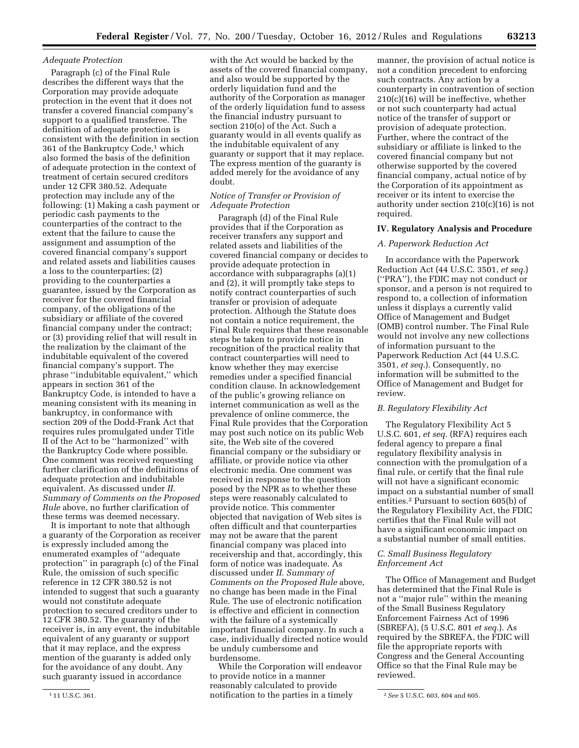#### *Adequate Protection*

Paragraph (c) of the Final Rule describes the different ways that the Corporation may provide adequate protection in the event that it does not transfer a covered financial company's support to a qualified transferee. The definition of adequate protection is consistent with the definition in section 361 of the Bankruptcy Code,1 which also formed the basis of the definition of adequate protection in the context of treatment of certain secured creditors under 12 CFR 380.52. Adequate protection may include any of the following: (1) Making a cash payment or periodic cash payments to the counterparties of the contract to the extent that the failure to cause the assignment and assumption of the covered financial company's support and related assets and liabilities causes a loss to the counterparties; (2) providing to the counterparties a guarantee, issued by the Corporation as receiver for the covered financial company, of the obligations of the subsidiary or affiliate of the covered financial company under the contract; or (3) providing relief that will result in the realization by the claimant of the indubitable equivalent of the covered financial company's support. The phrase ''indubitable equivalent,'' which appears in section 361 of the Bankruptcy Code, is intended to have a meaning consistent with its meaning in bankruptcy, in conformance with section 209 of the Dodd-Frank Act that requires rules promulgated under Title II of the Act to be ''harmonized'' with the Bankruptcy Code where possible. One comment was received requesting further clarification of the definitions of adequate protection and indubitable equivalent. As discussed under *II. Summary of Comments on the Proposed Rule* above, no further clarification of these terms was deemed necessary.

It is important to note that although a guaranty of the Corporation as receiver is expressly included among the enumerated examples of ''adequate protection'' in paragraph (c) of the Final Rule, the omission of such specific reference in 12 CFR 380.52 is not intended to suggest that such a guaranty would not constitute adequate protection to secured creditors under to 12 CFR 380.52. The guaranty of the receiver is, in any event, the indubitable equivalent of any guaranty or support that it may replace, and the express mention of the guaranty is added only for the avoidance of any doubt. Any such guaranty issued in accordance

with the Act would be backed by the assets of the covered financial company, and also would be supported by the orderly liquidation fund and the authority of the Corporation as manager of the orderly liquidation fund to assess the financial industry pursuant to section 210(o) of the Act. Such a guaranty would in all events qualify as the indubitable equivalent of any guaranty or support that it may replace. The express mention of the guaranty is added merely for the avoidance of any doubt.

## *Notice of Transfer or Provision of Adequate Protection*

Paragraph (d) of the Final Rule provides that if the Corporation as receiver transfers any support and related assets and liabilities of the covered financial company or decides to provide adequate protection in accordance with subparagraphs (a)(1) and (2), it will promptly take steps to notify contract counterparties of such transfer or provision of adequate protection. Although the Statute does not contain a notice requirement, the Final Rule requires that these reasonable steps be taken to provide notice in recognition of the practical reality that contract counterparties will need to know whether they may exercise remedies under a specified financial condition clause. In acknowledgement of the public's growing reliance on internet communication as well as the prevalence of online commerce, the Final Rule provides that the Corporation may post such notice on its public Web site, the Web site of the covered financial company or the subsidiary or affiliate, or provide notice via other electronic media. One comment was received in response to the question posed by the NPR as to whether these steps were reasonably calculated to provide notice. This commenter objected that navigation of Web sites is often difficult and that counterparties may not be aware that the parent financial company was placed into receivership and that, accordingly, this form of notice was inadequate. As discussed under *II. Summary of Comments on the Proposed Rule* above, no change has been made in the Final Rule. The use of electronic notification is effective and efficient in connection with the failure of a systemically important financial company. In such a case, individually directed notice would be unduly cumbersome and burdensome.

1 11 U.S.C. 361. 2*See* 5 U.S.C. 603, 604 and 605. notification to the parties in a timely While the Corporation will endeavor to provide notice in a manner reasonably calculated to provide

manner, the provision of actual notice is not a condition precedent to enforcing such contracts. Any action by a counterparty in contravention of section 210(c)(16) will be ineffective, whether or not such counterparty had actual notice of the transfer of support or provision of adequate protection. Further, where the contract of the subsidiary or affiliate is linked to the covered financial company but not otherwise supported by the covered financial company, actual notice of by the Corporation of its appointment as receiver or its intent to exercise the authority under section 210(c)(16) is not required.

#### **IV. Regulatory Analysis and Procedure**

#### *A. Paperwork Reduction Act*

In accordance with the Paperwork Reduction Act (44 U.S.C. 3501, *et seq.*) (''PRA''), the FDIC may not conduct or sponsor, and a person is not required to respond to, a collection of information unless it displays a currently valid Office of Management and Budget (OMB) control number. The Final Rule would not involve any new collections of information pursuant to the Paperwork Reduction Act (44 U.S.C. 3501, *et seq.*). Consequently, no information will be submitted to the Office of Management and Budget for review.

#### *B. Regulatory Flexibility Act*

The Regulatory Flexibility Act 5 U.S.C. 601, *et seq.* (RFA) requires each federal agency to prepare a final regulatory flexibility analysis in connection with the promulgation of a final rule, or certify that the final rule will not have a significant economic impact on a substantial number of small entities.2 Pursuant to section 605(b) of the Regulatory Flexibility Act, the FDIC certifies that the Final Rule will not have a significant economic impact on a substantial number of small entities.

#### *C. Small Business Regulatory Enforcement Act*

The Office of Management and Budget has determined that the Final Rule is not a ''major rule'' within the meaning of the Small Business Regulatory Enforcement Fairness Act of 1996 (SBREFA), (5 U.S.C. 801 *et seq.*). As required by the SBREFA, the FDIC will file the appropriate reports with Congress and the General Accounting Office so that the Final Rule may be reviewed.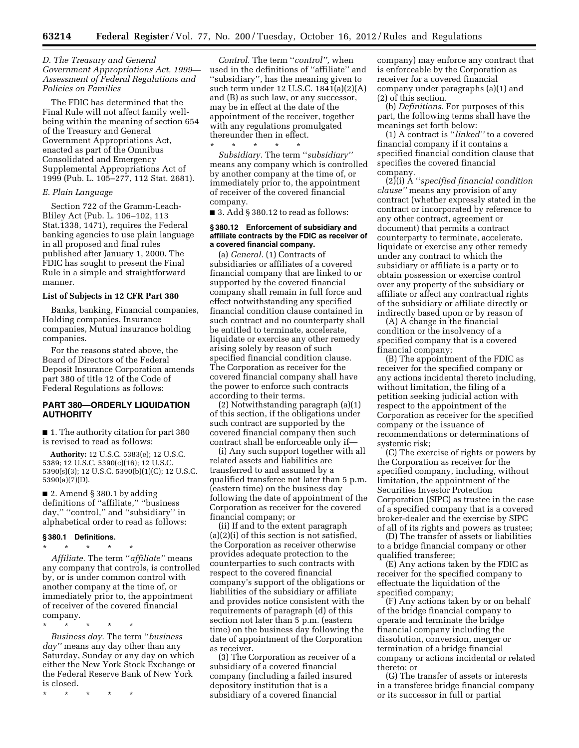## *D. The Treasury and General Government Appropriations Act, 1999— Assessment of Federal Regulations and Policies on Families*

The FDIC has determined that the Final Rule will not affect family wellbeing within the meaning of section 654 of the Treasury and General Government Appropriations Act, enacted as part of the Omnibus Consolidated and Emergency Supplemental Appropriations Act of 1999 (Pub. L. 105–277, 112 Stat. 2681).

#### *E. Plain Language*

Section 722 of the Gramm-Leach-Bliley Act (Pub. L. 106–102, 113 Stat.1338, 1471), requires the Federal banking agencies to use plain language in all proposed and final rules published after January 1, 2000. The FDIC has sought to present the Final Rule in a simple and straightforward manner.

#### **List of Subjects in 12 CFR Part 380**

Banks, banking, Financial companies, Holding companies, Insurance companies, Mutual insurance holding companies.

For the reasons stated above, the Board of Directors of the Federal Deposit Insurance Corporation amends part 380 of title 12 of the Code of Federal Regulations as follows:

## **PART 380—ORDERLY LIQUIDATION AUTHORITY**

■ 1. The authority citation for part 380 is revised to read as follows:

**Authority:** 12 U.S.C. 5383(e); 12 U.S.C. 5389; 12 U.S.C. 5390(c)(16); 12 U.S.C. 5390(s)(3); 12 U.S.C. 5390(b)(1)(C); 12 U.S.C. 5390(a)(7)(D).

■ 2. Amend § 380.1 by adding definitions of ''affiliate,'' ''business day," "control," and "subsidiary" in alphabetical order to read as follows:

# **§ 380.1 Definitions.**

\* \* \* \* \* *Affiliate.* The term ''*affiliate''* means any company that controls, is controlled by, or is under common control with another company at the time of, or immediately prior to, the appointment of receiver of the covered financial company.

*Business day.* The term ''*business day''* means any day other than any Saturday, Sunday or any day on which either the New York Stock Exchange or the Federal Reserve Bank of New York is closed.

\* \* \* \* \*

\* \* \* \* \*

*Control.* The term ''*control'',* when used in the definitions of ''affiliate'' and ''subsidiary'', has the meaning given to such term under 12 U.S.C. 1841(a)(2)(A) and (B) as such law, or any successor, may be in effect at the date of the appointment of the receiver, together with any regulations promulgated thereunder then in effect.

\* \* \* \* \* *Subsidiary.* The term ''*subsidiary''*  means any company which is controlled by another company at the time of, or immediately prior to, the appointment of receiver of the covered financial company.

■ 3. Add § 380.12 to read as follows:

#### **§ 380.12 Enforcement of subsidiary and affiliate contracts by the FDIC as receiver of a covered financial company.**

(a) *General.* (1) Contracts of subsidiaries or affiliates of a covered financial company that are linked to or supported by the covered financial company shall remain in full force and effect notwithstanding any specified financial condition clause contained in such contract and no counterparty shall be entitled to terminate, accelerate, liquidate or exercise any other remedy arising solely by reason of such specified financial condition clause. The Corporation as receiver for the covered financial company shall have the power to enforce such contracts according to their terms.

(2) Notwithstanding paragraph (a)(1) of this section, if the obligations under such contract are supported by the covered financial company then such contract shall be enforceable only if—

(i) Any such support together with all related assets and liabilities are transferred to and assumed by a qualified transferee not later than 5 p.m. (eastern time) on the business day following the date of appointment of the Corporation as receiver for the covered financial company; or

(ii) If and to the extent paragraph (a)(2)(i) of this section is not satisfied, the Corporation as receiver otherwise provides adequate protection to the counterparties to such contracts with respect to the covered financial company's support of the obligations or liabilities of the subsidiary or affiliate and provides notice consistent with the requirements of paragraph (d) of this section not later than 5 p.m. (eastern time) on the business day following the date of appointment of the Corporation as receiver.

(3) The Corporation as receiver of a subsidiary of a covered financial company (including a failed insured depository institution that is a subsidiary of a covered financial

company) may enforce any contract that is enforceable by the Corporation as receiver for a covered financial company under paragraphs (a)(1) and (2) of this section.

(b) *Definitions.* For purposes of this part, the following terms shall have the meanings set forth below:

(1) A contract is ''*linked''* to a covered financial company if it contains a specified financial condition clause that specifies the covered financial company.

(2)(i) A ''*specified financial condition clause''* means any provision of any contract (whether expressly stated in the contract or incorporated by reference to any other contract, agreement or document) that permits a contract counterparty to terminate, accelerate, liquidate or exercise any other remedy under any contract to which the subsidiary or affiliate is a party or to obtain possession or exercise control over any property of the subsidiary or affiliate or affect any contractual rights of the subsidiary or affiliate directly or indirectly based upon or by reason of

(A) A change in the financial condition or the insolvency of a specified company that is a covered financial company;

(B) The appointment of the FDIC as receiver for the specified company or any actions incidental thereto including, without limitation, the filing of a petition seeking judicial action with respect to the appointment of the Corporation as receiver for the specified company or the issuance of recommendations or determinations of systemic risk;

(C) The exercise of rights or powers by the Corporation as receiver for the specified company, including, without limitation, the appointment of the Securities Investor Protection Corporation (SIPC) as trustee in the case of a specified company that is a covered broker-dealer and the exercise by SIPC of all of its rights and powers as trustee;

(D) The transfer of assets or liabilities to a bridge financial company or other qualified transferee;

(E) Any actions taken by the FDIC as receiver for the specified company to effectuate the liquidation of the specified company;

(F) Any actions taken by or on behalf of the bridge financial company to operate and terminate the bridge financial company including the dissolution, conversion, merger or termination of a bridge financial company or actions incidental or related thereto; or

(G) The transfer of assets or interests in a transferee bridge financial company or its successor in full or partial